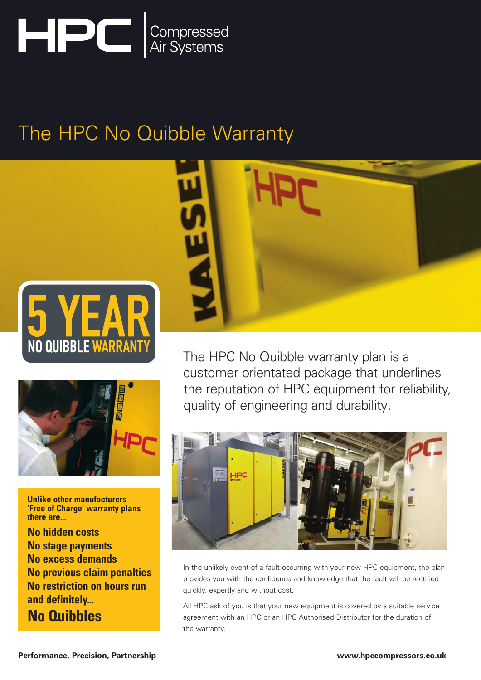

# The HPC No Quibble Warranty





**Unlike other manufacturers 'Free of Charge' warranty plans there are...**

**No hidden costs No stage payments No excess demands No previous claim penalties No restriction on hours run and definitely... No Quibbles**



The HPC No Quibble warranty plan is a customer orientated package that underlines the reputation of HPC equipment for reliability, quality of engineering and durability.



In the unlikely event of a fault occurring with your new HPC equipment, the plan provides you with the confidence and knowledge that the fault will be rectified quickly, expertly and without cost.

All HPC ask of you is that your new equipment is covered by a suitable service agreement with an HPC or an HPC Authorised Distributor for the duration of the warranty.